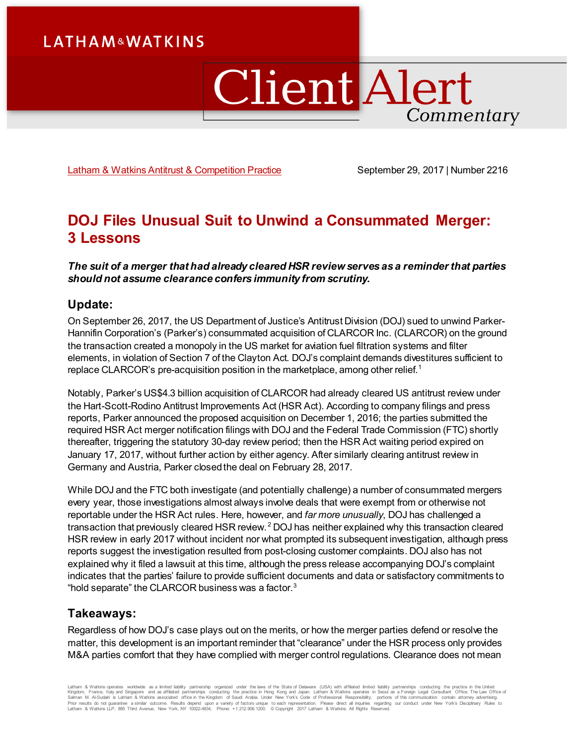# **LATHAM&WATKINS**

# ClientAlert Commentary

[Latham & Watkins Antitrust & Competition Practice](https://www.lw.com/practices/AntitrustAndCompetition) September 29, 2017 | Number 2216

# **DOJ Files Unusual Suit to Unwind a Consummated Merger: 3 Lessons**

*The suit of a merger that had already cleared HSR review serves as a reminder that parties should not assume clearance confers immunity from scrutiny.* 

# **Update:**

On September 26, 2017, the US Department of Justice's Antitrust Division (DOJ) sued to unwind Parker-Hannifin Corporation's (Parker's) consummated acquisition of CLARCOR Inc. (CLARCOR) on the ground the transaction created a monopoly in the US market for aviation fuel filtration systems and filter elements, in violation of Section 7 of the Clayton Act. DOJ's complaint demands divestitures sufficient to replace CLARCOR's pre-acquisition position in the marketplace, among other relief.<sup>[1](#page-4-0)</sup>

Notably, Parker's US\$4.3 billion acquisition of CLARCOR had already cleared US antitrust review under the Hart-Scott-Rodino Antitrust Improvements Act (HSR Act). According to company filings and press reports, Parker announced the proposed acquisition on December 1, 2016; the parties submitted the required HSR Act merger notification filings with DOJ and the Federal Trade Commission (FTC) shortly thereafter, triggering the statutory 30-day review period; then the HSR Act waiting period expired on January 17, 2017, without further action by either agency. After similarly clearing antitrust review in Germany and Austria, Parker closed the deal on February 28, 2017.

While DOJ and the FTC both investigate (and potentially challenge) a number of consummated mergers every year, those investigations almost always involve deals that were exempt from or otherwise not reportable under the HSR Act rules. Here, however, and *far more unusually*, DOJ has challenged a transaction that previously cleared HSR review. [2](#page-4-1) DOJ has neither explained why this transaction cleared HSR review in early 2017 without incident nor what prompted its subsequent investigation, although press reports suggest the investigation resulted from post-closing customer complaints. DOJ also has not explained why it filed a lawsuit at this time, although the press release accompanying DOJ's complaint indicates that the parties' failure to provide sufficient documents and data or satisfactory commitments to "hold separate" the CLARCOR business was a factor. $3$ 

# **Takeaways:**

Regardless of how DOJ's case plays out on the merits, or how the merger parties defend or resolve the matter, this development is an important reminder that "clearance" under the HSR process only provides M&A parties comfort that they have complied with merger control regulations. Clearance does not mean

Latham & Watkins operates wordwide as a limited lability partneship organized under the laws of the State of Delaware (USA) with affiliated partnerships conducting the practice in the Virtual China, Latham & Watkins operat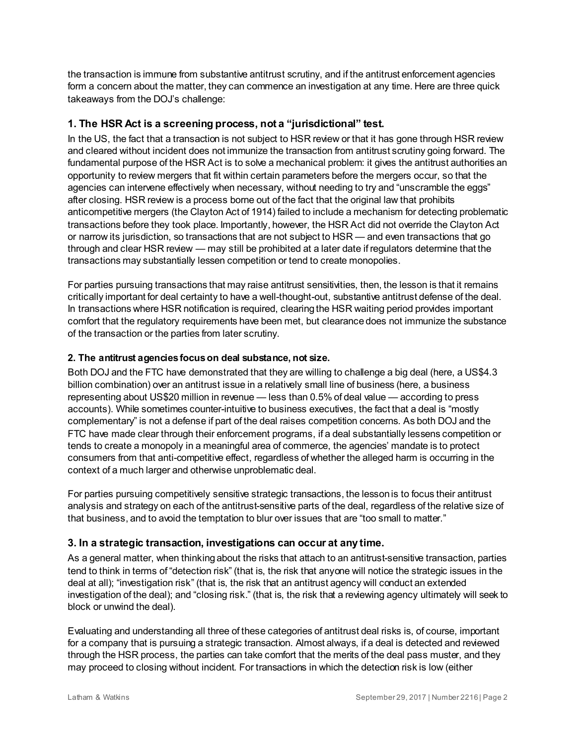the transaction is immune from substantive antitrust scrutiny, and if the antitrust enforcement agencies form a concern about the matter, they can commence an investigation at any time. Here are three quick takeaways from the DOJ's challenge:

# **1. The HSR Act is a screening process, not a "jurisdictional" test.**

In the US, the fact that a transaction is not subject to HSR review or that it has gone through HSR review and cleared without incident does not immunize the transaction from antitrust scrutiny going forward. The fundamental purpose of the HSR Act is to solve a mechanical problem: it gives the antitrust authorities an opportunity to review mergers that fit within certain parameters before the mergers occur, so that the agencies can intervene effectively when necessary, without needing to try and "unscramble the eggs" after closing. HSR review is a process borne out of the fact that the original law that prohibits anticompetitive mergers (the Clayton Act of 1914) failed to include a mechanism for detecting problematic transactions before they took place. Importantly, however, the HSR Act did not override the Clayton Act or narrow its jurisdiction, so transactions that are not subject to HSR — and even transactions that go through and clear HSR review — may still be prohibited at a later date if regulators determine that the transactions may substantially lessen competition or tend to create monopolies.

For parties pursuing transactions that may raise antitrust sensitivities, then, the lesson is that it remains critically important for deal certainty to have a well-thought-out, substantive antitrust defense of the deal. In transactions where HSR notification is required, clearing the HSR waiting period provides important comfort that the regulatory requirements have been met, but clearance does not immunize the substance of the transaction or the parties from later scrutiny.

## **2. The antitrust agencies focus on deal substance, not size.**

Both DOJ and the FTC have demonstrated that they are willing to challenge a big deal (here, a US\$4.3 billion combination) over an antitrust issue in a relatively small line of business (here, a business representing about US\$20 million in revenue — less than 0.5% of deal value — according to press accounts). While sometimes counter-intuitive to business executives, the fact that a deal is "mostly complementary" is not a defense if part of the deal raises competition concerns. As both DOJ and the FTC have made clear through their enforcement programs, if a deal substantially lessens competition or tends to create a monopoly in a meaningful area of commerce, the agencies' mandate is to protect consumers from that anti-competitive effect, regardless of whether the alleged harm is occurring in the context of a much larger and otherwise unproblematic deal.

For parties pursuing competitively sensitive strategic transactions, the lesson is to focus their antitrust analysis and strategy on each of the antitrust-sensitive parts of the deal, regardless of the relative size of that business, and to avoid the temptation to blur over issues that are "too small to matter."

# **3. In a strategic transaction, investigations can occur at any time.**

As a general matter, when thinking about the risks that attach to an antitrust-sensitive transaction, parties tend to think in terms of "detection risk" (that is, the risk that anyone will notice the strategic issues in the deal at all); "investigation risk" (that is, the risk that an antitrust agency will conduct an extended investigation of the deal); and "closing risk." (that is, the risk that a reviewing agency ultimately will seek to block or unwind the deal).

Evaluating and understanding all three of these categories of antitrust deal risks is, of course, important for a company that is pursuing a strategic transaction. Almost always, if a deal is detected and reviewed through the HSR process, the parties can take comfort that the merits of the deal pass muster, and they may proceed to closing without incident. For transactions in which the detection risk is low (either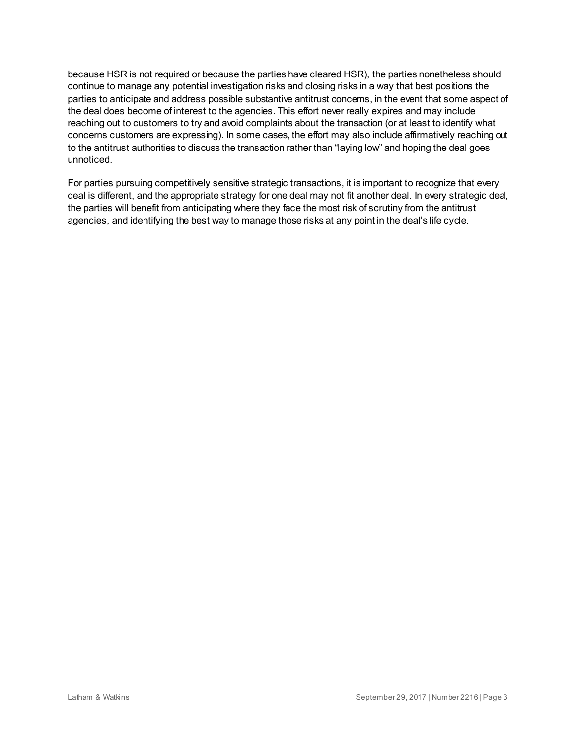because HSR is not required or because the parties have cleared HSR), the parties nonetheless should continue to manage any potential investigation risks and closing risks in a way that best positions the parties to anticipate and address possible substantive antitrust concerns, in the event that some aspect of the deal does become of interest to the agencies. This effort never really expires and may include reaching out to customers to try and avoid complaints about the transaction (or at least to identify what concerns customers are expressing). In some cases, the effort may also include affirmatively reaching out to the antitrust authorities to discuss the transaction rather than "laying low" and hoping the deal goes unnoticed.

For parties pursuing competitively sensitive strategic transactions, it is important to recognize that every deal is different, and the appropriate strategy for one deal may not fit another deal. In every strategic deal, the parties will benefit from anticipating where they face the most risk of scrutiny from the antitrust agencies, and identifying the best way to manage those risks at any point in the deal's life cycle.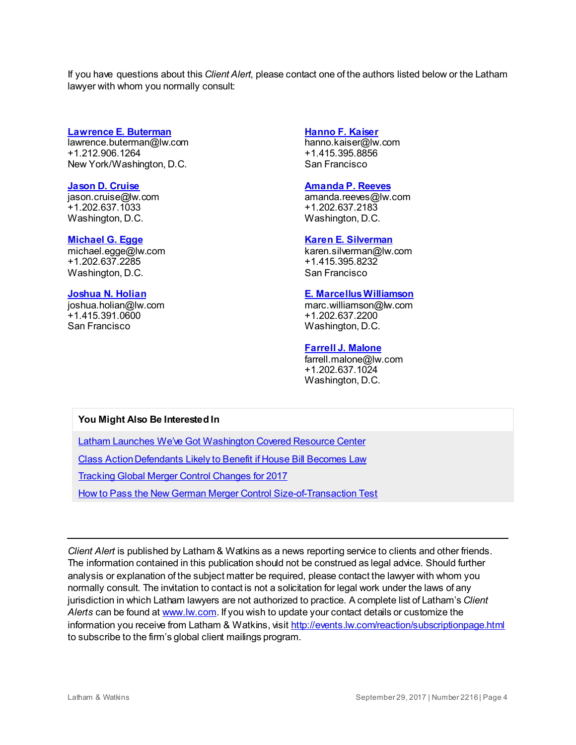If you have questions about this *Client Alert*, please contact one of the authors listed below or the Latham lawyer with whom you normally consult:

#### **[Lawrence E. Buterman](https://www.lw.com/people/lawrence-buterman)**

[lawrence.buterman@lw.com](mailto:lawrence.buterman@lw.com) +1.212.906.1264 New York/Washington, D.C.

#### **[Jason D. Cruise](https://www.lw.com/people/jason-cruise)**

[jason.cruise@lw.com](mailto:jason.cruise@lw.com) +1.202.637.1033 Washington, D.C.

#### **[Michael G. Egge](https://www.lw.com/people/michael-egge)**

[michael.egge@lw.com](mailto:michael.egge@lw.com) +1.202.637.2285 Washington, D.C.

#### **[Joshua N. Holian](https://www.lw.com/people/joshua-holian)**

[joshua.holian@lw.com](mailto:joshua.holian@lw.com) +1.415.391.0600 San Francisco

#### **[Hanno F. Kaiser](https://www.lw.com/people/hanno-kaiser)**

[hanno.kaiser@lw.com](mailto:hanno.kaiser@lw.com) +1.415.395.8856 San Francisco

### **[Amanda P. Reeves](https://www.lw.com/people/amanda-reeves)**

[amanda.reeves@lw.com](mailto:amanda.reeves@lw.com) +1.202.637.2183 Washington, D.C.

#### **[Karen E. Silverman](https://www.lw.com/people/karen-silverman)**

[karen.silverman@lw.com](mailto:karen.silverman@lw.com) +1.415.395.8232 San Francisco

#### **[E. Marcellus Williamson](https://www.lw.com/people/marc-williamson)**

[marc.williamson@lw.com](mailto:marc.williamson@lw.com) +1.202.637.2200 Washington, D.C.

#### **[Farrell J. Malone](https://www.lw.com/people/farrell-malone)**

[farrell.malone@lw.com](mailto:farrell.malone@lw.com) +1.202.637.1024 Washington, D.C.

## **You Might Also Be Interested In**

[Latham Launches We've Got Washington Covered Resource Center](https://www.lw.com/news/latham-launches-weve-got-washington-covered-resource-center)

[Class Action Defendants Likely to Benefit if House Bill](https://www.lw.com/thoughtLeadership/LW-class-action-defendants-to-benefit-if-house-bill-becomes-law) Becomes Law

[Tracking Global Merger Control Changes for 2017](https://www.lw.com/thoughtLeadership/byline-tracking-global-merger-control-changes-for-2017)

[How to Pass the New German Merger Control Size-of-Transaction Test](https://www.lw.com/thoughtLeadership/how-to-pass-new-german-merger-control-size-transaction-test)

*Client Alert* is published by Latham & Watkins as a news reporting service to clients and other friends. The information contained in this publication should not be construed as legal advice. Should further analysis or explanation of the subject matter be required, please contact the lawyer with whom you normally consult. The invitation to contact is not a solicitation for legal work under the laws of any jurisdiction in which Latham lawyers are not authorized to practice. A complete list of Latham's *Client Alerts* can be found a[t www.lw.com](http://www.lw.com/). If you wish to update your contact details or customize the information you receive from Latham & Watkins, visi[t http://events.lw.com/reaction/subscriptionpage.html](http://events.lw.com/reaction/subscriptionpage.html) to subscribe to the firm's global client mailings program.